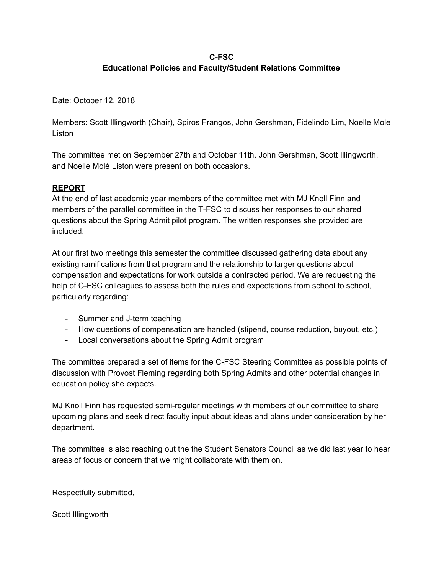#### **C-FSC Educational Policies and Faculty/Student Relations Committee**

Date: October 12, 2018

Members: Scott Illingworth (Chair), Spiros Frangos, John Gershman, Fidelindo Lim, Noelle Mole Liston

The committee met on September 27th and October 11th. John Gershman, Scott Illingworth, and Noelle Molé Liston were present on both occasions.

#### **REPORT**

At the end of last academic year members of the committee met with MJ Knoll Finn and members of the parallel committee in the T-FSC to discuss her responses to our shared questions about the Spring Admit pilot program. The written responses she provided are included.

At our first two meetings this semester the committee discussed gathering data about any existing ramifications from that program and the relationship to larger questions about compensation and expectations for work outside a contracted period. We are requesting the help of C-FSC colleagues to assess both the rules and expectations from school to school, particularly regarding:

- Summer and J-term teaching
- How questions of compensation are handled (stipend, course reduction, buyout, etc.)
- Local conversations about the Spring Admit program

The committee prepared a set of items for the C-FSC Steering Committee as possible points of discussion with Provost Fleming regarding both Spring Admits and other potential changes in education policy she expects.

MJ Knoll Finn has requested semi-regular meetings with members of our committee to share upcoming plans and seek direct faculty input about ideas and plans under consideration by her department.

The committee is also reaching out the the Student Senators Council as we did last year to hear areas of focus or concern that we might collaborate with them on.

Respectfully submitted,

Scott Illingworth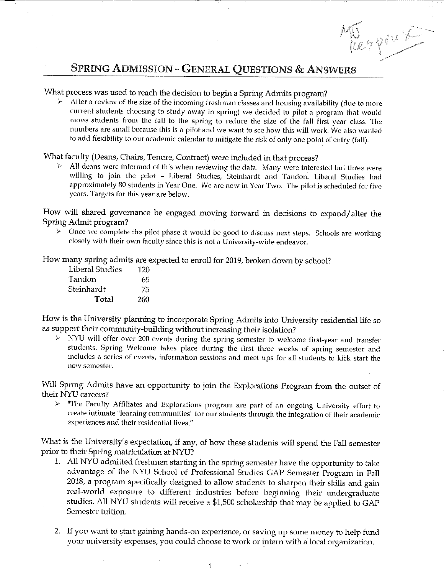# Nerprus **SPRING ADMISSION - GENERAL QUESTIONS & ANSWERS**

#### What process was used to reach the decision to begin a Spring Admits program?

After a review of the size of the incoming freshman classes and housing availability (due to more current students choosing to study away in spring) we decided to pilot a program that would move students from the fall to the spring to reduce the size of the fall first year class. The numbers are small because this is a pilot and we want to see how this will work. We also wanted to add flexibility to our academic calendar to mitigate the risk of only one point of entry (fall).

#### What faculty (Deans, Chairs, Tenure, Contract) were included in that process?

All deans were informed of this when reviewing the data. Many were interested but three were willing to join the pilot - Liberal Studies, Steinhardt and Tandon. Liberal Studies had approximately 80 students in Year One. We are now in Year Two. The pilot is scheduled for five years. Targets for this year are below.

How will shared governance be engaged moving forward in decisions to expand/alter the Spring Admit program?

 $\mathcal{L}$ Once we complete the pilot phase it would be good to discuss next steps. Schools are working closely with their own faculty since this is not a University-wide endeavor.

How many spring admits are expected to enroll for 2019, broken down by school?

| Liberal Studies | 120 |
|-----------------|-----|
| Tandon          | 65  |
| Steinhardt      | 75  |
| Total           | 260 |

How is the University planning to incorporate Spring Admits into University residential life so as support their community-building without increasing their isolation?

 $\triangleright$  NYU will offer over 200 events during the spring semester to welcome first-year and transfer students. Spring Welcome takes place during the first three weeks of spring semester and includes a series of events, information sessions and meet ups for all students to kick start the new semester.

Will Spring Admits have an opportunity to join the Explorations Program from the outset of their NYU careers?

 $V$  "The Faculty Affiliates and Explorations program are part of an ongoing University effort to create intimate "learning communities" for our students through the integration of their academic experiences and their residential lives."

What is the University's expectation, if any, of how these students will spend the Fall semester prior to their Spring matriculation at NYU?

- 1. All NYU admitted freshmen starting in the spring semester have the opportunity to take advantage of the NYU School of Professional Studies GAP Semester Program in Fall 2018, a program specifically designed to allow students to sharpen their skills and gain real-world exposure to different industries before beginning their undergraduate studies. All NYU students will receive a \$1,500 scholarship that may be applied to GAP Semester tuition.
- 2. If you want to start gaining hands-on experience, or saving up some money to help fund your university expenses, you could choose to work or intern with a local organization.

 $\frac{1}{2}$  ,  $\frac{1}{2}$  ,  $\frac{1}{2}$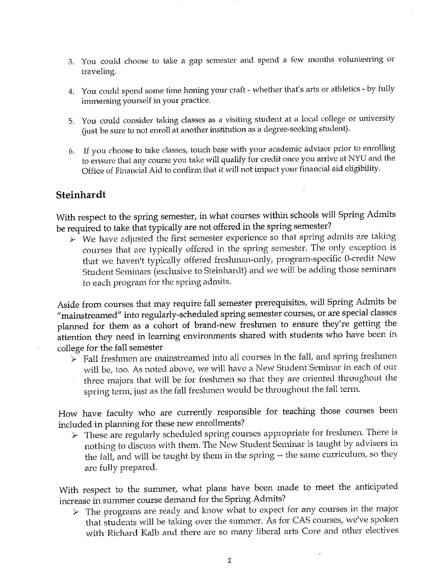- 3. You could choose to take a gap semester and spend a few months volunteering or traveling.
- 4. You could spend some time honing your craft whether that's arts or athletics by fully immersing yourself in your practice.
- 5. You could consider taking classes as a visiting student at a local college or university (just be sure to not enroll at another institution as a degree-seeking student).
- If you choose to take classes, touch base with your academic advisor prior to enrolling to ensure that any course you take will qualify for credit once you arrive at NYU and the Office of Financial Aid to confirm that it will not impact your financial aid eligibility.

#### Steinhardt

With respect to the spring semester, in what courses within schools will Spring Admits be required to take that typically are not offered in the spring semester?

 $\triangleright$  We have adjusted the first semester experience so that spring admits are taking courses that are typically offered in the spring semester. The only exception is that we haven't typically offered freshman-only, program-specific 0-credit New Student Seminars (exclusive to Steinhardt) and we will be adding those seminars to each program for the spring admits.

Aside from courses that may require fall semester prerequisites, will Spring Admits be "mainstreamed" into regularly-scheduled spring semester courses, or are special classes planned for them as a cohort of brand-new freshmen to ensure they're getting the attention they need in learning environments shared with students who have been in college for the fall semester

 $\triangleright$  Fall freshmen are mainstreamed into all courses in the fall, and spring freshmen will be, too. As noted above, we will have a New Student Seminar in each of our three majors that will be for freshmen so that they are oriented throughout the spring term, just as the fall freshmen would be throughout the fall term.

How have faculty who are currently responsible for teaching those courses been included in planning for these new enrollments?

 $\triangleright$  These are regularly scheduled spring courses appropriate for freshmen. There is nothing to discuss with them. The New Student Seminar is taught by advisers in the fall, and will be taught by them in the spring -- the same curriculum, so they are fully prepared.

With respect to the summer, what plans have been made to meet the anticipated increase in summer course demand for the Spring Admits?

 $\triangleright$  The programs are ready and know what to expect for any courses in the major that students will be taking over the summer. As for CAS courses, we've spoken with Richard Kalb and there are so many liberal arts Core and other electives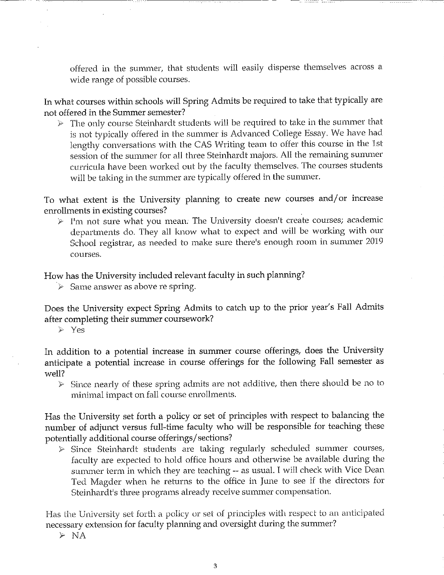offered in the summer, that students will easily disperse themselves across a wide range of possible courses.

In what courses within schools will Spring Admits be required to take that typically are not offered in the Summer semester?

The only course Steinhardt students will be required to take in the summer that )<br>P is not typically offered in the summer is Advanced College Essay. We have had lengthy conversations with the CAS Writing team to offer this course in the 1st session of the summer for all three Steinhardt majors. All the remaining summer curricula have been worked out by the faculty themselves. The courses students will be taking in the summer are typically offered in the summer.

To what extent is the University planning to create new courses and/or increase enrollments in existing courses?

 $\triangleright$  I'm not sure what you mean. The University doesn't create courses; academic departments do. They all know what to expect and will be working with our School registrar, as needed to make sure there's enough room in summer 2019 courses.

How has the University included relevant faculty in such planning?

 $\triangleright$  Same answer as above re spring.

Does the University expect Spring Admits to catch up to the prior year's Fall Admits after completing their summer coursework?

 $\geqslant$  Yes

In addition to a potential increase in summer course offerings, does the University anticipate a potential increase in course offerings for the following Fall semester as well?

 $\triangleright$  Since nearly of these spring admits are not additive, then there should be no to minimal impact on fall course enrollments.

Has the University set forth a policy or set of principles with respect to balancing the number of adjunct versus full-time faculty who will be responsible for teaching these potentially additional course offerings/sections?

 $\triangleright$  Since Steinhardt students are taking regularly scheduled summer courses, faculty are expected to hold office hours and otherwise be available during the summer term in which they are teaching -- as usual. I will check with Vice Dean Ted Magder when he returns to the office in June to see if the directors for Steinhardt's three programs already receive summer compensation.

Has the University set forth a policy or set of principles with respect to an anticipated necessary extension for faculty planning and oversight during the summer?

 $\triangleright$  NA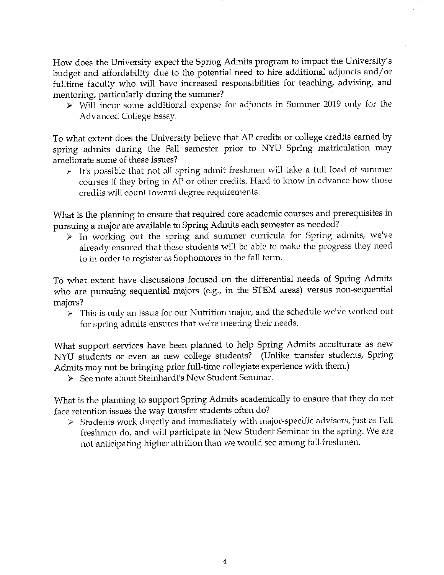How does the University expect the Spring Admits program to impact the University's budget and affordability due to the potential need to hire additional adjuncts and/or fulltime faculty who will have increased responsibilities for teaching, advising, and mentoring, particularly during the summer?

 $\triangleright$  Will incur some additional expense for adjuncts in Summer 2019 only for the Advanced College Essay.

To what extent does the University believe that AP credits or college credits earned by spring admits during the Fall semester prior to NYU Spring matriculation may ameliorate some of these issues?

 $\triangleright$  It's possible that not all spring admit freshmen will take a full load of summer courses if they bring in AP or other credits. Hard to know in advance how those credits will count toward degree requirements.

What is the planning to ensure that required core academic courses and prerequisites in pursuing a major are available to Spring Admits each semester as needed?

 $\triangleright$  In working out the spring and summer curricula for Spring admits, we've already ensured that these students will be able to make the progress they need to in order to register as Sophomores in the fall term.

To what extent have discussions focused on the differential needs of Spring Admits who are pursuing sequential majors (e.g., in the STEM areas) versus non-sequential majors?

 $\triangleright$  This is only an issue for our Nutrition major, and the schedule we've worked out for spring admits ensures that we're meeting their needs.

What support services have been planned to help Spring Admits acculturate as new NYU students or even as new college students? (Unlike transfer students, Spring Admits may not be bringing prior full-time collegiate experience with them.)

► See note about Steinhardt's New Student Seminar.

What is the planning to support Spring Admits academically to ensure that they do not face retention issues the way transfer students often do?

 $\triangleright$  Students work directly and immediately with major-specific advisers, just as Fall freshmen do, and will participate in New Student Seminar in the spring. We are not anticipating higher attrition than we would see among fall freshmen.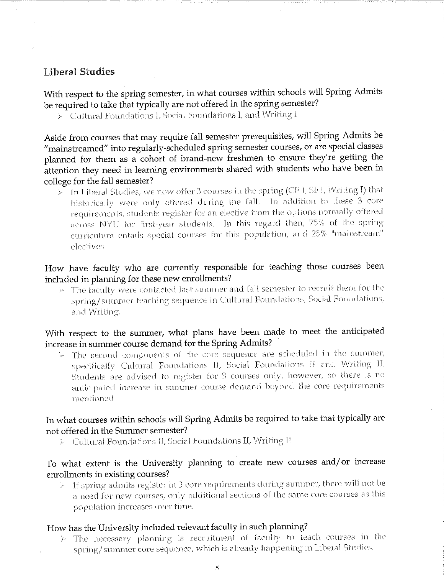## **Liberal Studies**

With respect to the spring semester, in what courses within schools will Spring Admits be required to take that typically are not offered in the spring semester?

 $\succ$  -Cultural Foundations I, Social Foundations I, and Writing I

Aside from courses that may require fall semester prerequisites, will Spring Admits be "mainstreamed" into regularly-scheduled spring semester courses, or are special classes planned for them as a cohort of brand-new freshmen to ensure they're getting the attention they need in learning environments shared with students who have been in college for the fall semester?

 $>$  In Liberal Studies, we now offer 3 courses in the spring (CF I, SF I, Writing I) that historically were only offered during the fall. In addition to these 3 core requirements, students register for an elective from the options normally offered across NYU for first-year students. In this regard then, 75% of the spring curriculum entails special courses for this population, and 25% "mainstream" electives.

#### How have faculty who are currently responsible for teaching those courses been included in planning for these new enrollments?

The faculty were contacted last summer and fall semester to recruit them for the  $\gamma_{\rm eff}$ spring/summer teaching sequence in Cultural Foundations, Social Foundations, and Writing.

#### With respect to the summer, what plans have been made to meet the anticipated increase in summer course demand for the Spring Admits?

 $\succ$  The second components of the core sequence are scheduled in the summer, specifically Cultural Foundations II, Social Foundations II and Writing II. Students are advised to register for 3 courses only, however, so there is no anticipated increase in summer course demand beyond the core requirements mentioned.

#### In what courses within schools will Spring Admits be required to take that typically are not offered in the Summer semester?

 $\triangleright$  - Cultural Foundations II, Social Foundations II, Writing II

### To what extent is the University planning to create new courses and/or increase enrollments in existing courses?

 $\ge$  1f spring admits register in 3 core requirements during summer, there will not be a need for new courses, only additional sections of the same core courses as this population increases over time.

#### How has the University included relevant faculty in such planning?

 $\triangleright$  The necessary planning is recruitment of faculty to teach courses in the spring/summer core sequence, which is already happening in Liberal Studies.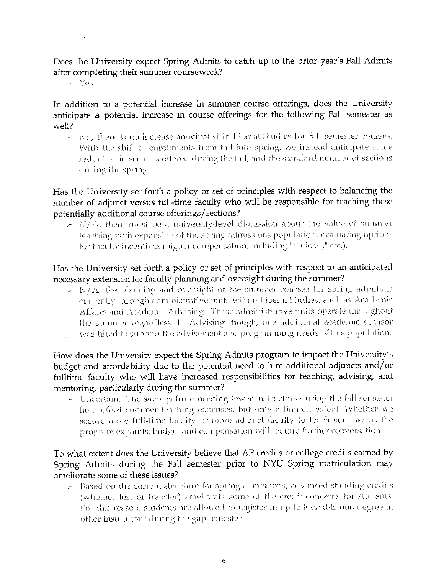Does the University expect Spring Admits to catch up to the prior year's Fall Admits after completing their summer coursework?

 $\triangleright$  Yes

In addition to a potential increase in summer course offerings, does the University anticipate a potential increase in course offerings for the following Fall semester as well?

 $\triangleright$  No, there is no increase anticipated in Liberal Studies for fall semester courses. With the shift of enrollments from fall into spring, we instead anticipate some reduction in sections offered during the fall, and the standard number of sections during the spring.

Has the University set forth a policy or set of principles with respect to balancing the number of adjunct versus full-time faculty who will be responsible for teaching these potentially additional course offerings/sections?

 $\succ$  N/A, there must be a university-level discussion about the value of summer teaching with expansion of the spring admissions population, evaluating options for faculty incentives (higher compensation, including "on foad," etc.).

#### Has the University set forth a policy or set of principles with respect to an anticipated necessary extension for faculty planning and oversight during the summer?

 $\triangleright$  N/A, the planning and oversight of the summer courses for spring admits is currently through administrative units within Liberal Studies, such as Academic Affairs and Academic Advising. These administrative units operate throughout the summer regardless. In Advising though, one additional academic advisor was hired to support the advisement and programming needs of this population.

#### How does the University expect the Spring Admits program to impact the University's budget and affordability due to the potential need to hire additional adjuncts and/or fulltime faculty who will have increased responsibilities for teaching, advising, and mentoring, particularly during the summer?

 $\triangleright$  Uncertain. The savings from needing fewer instructors during the fall semester help offset summer teaching expenses, but only a limited extent. Whether we secure more full-time faculty or more adjunct faculty to teach summer as the program expands, budget and compensation will require further conversation.

#### To what extent does the University believe that AP credits or college credits earned by Spring Admits during the Fall semester prior to NYU Spring matriculation may ameliorate some of these issues?

 $\succ$  -Based on the current structure for spring admissions, advanced standing credits (whether test or transfer) ameliorate some of the credit concerns for students. For this reason, students are allowed to register in up to 8 credits non-degree at other institutions during the gap semester.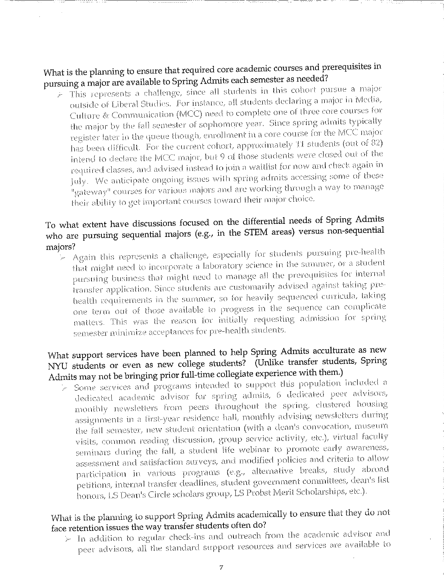What is the planning to ensure that required core academic courses and prerequisites in pursuing a major are available to Spring Admits each semester as needed?

 $\triangleright$  This represents a challenge, since all students in this cohort pursue a major outside of Liberal Studies. For instance, all students declaring a major in Media, Culture & Communication (MCC) need to complete one of three core courses for the major by the fall semester of sophomore year. Since spring admits typically register later in the queue though, enrollment in a core course for the MCC major has been difficult. For the current cohort, approximately 11 students (out of 82) intend to declare the MCC major, but 9 of those students were closed out of the required classes, and advised instead to join a waitlist for now and check again in July. We anticipate ongoing issues with spring admits accessing some of these "gateway" courses for various majors and are working through a way to manage their ability to get important courses toward their major choice.

# To what extent have discussions focused on the differential needs of Spring Admits who are pursuing sequential majors (e.g., in the STEM areas) versus non-sequential majors?

 $\triangleright$  Again this represents a challenge, especially for students pursuing pre-health that might need to incorporate a laboratory science in the summer, or a student pursuing business that might need to manage all the prerequisites for internal transfer application. Since students are customarily advised against taking prehealth requirements in the summer, so for heavily sequenced curricula, taking one term out of those available to progress in the sequence can complicate matters. This was the reason for initially requesting admission for spring semester minimize acceptances for pre-health students.

# What support services have been planned to help Spring Admits acculturate as new NYU students or even as new college students? (Unlike transfer students, Spring Admits may not be bringing prior full-time collegiate experience with them.)

 $\succ$  Some services and programs intended to support this population included a dedicated academic advisor for spring admits, 6 dedicated peer advisors, monthly newsletters from peers fhroughout the spring, clustered housing assignments in a first-year residence hall, monthly advising newsletters during the fall semester, new student orientation (with a dean's convocation, museum visits, common reading discussion, group service activity, etc.), virtual faculty seminars during the fall, a student life webinar to promote early awareness, assessment and satisfaction surveys, and modified policies and criteria to allow participation in various programs (e.g., alternative breaks, study abroad petitions, internal transfer deadlines, student government committees, dean's list honors, LS Dean's Circle scholars group, LS Probst Merit Scholarships, etc.).

# What is the planning to support Spring Admits academically to ensure that they do not face retention issues the way transfer students often do?

 $\models$  In addition to regular check-ins and outreach from the academic advisor and peer advisors, all the standard support resources and services are available to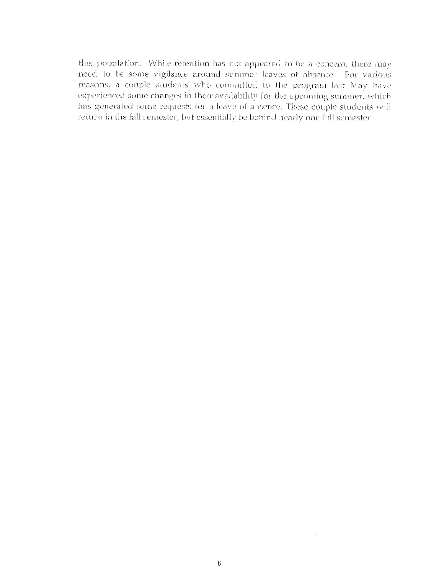this population. While retention has not appeared to be a concern, there may need to be some vigilance around summer leaves of absence. For various reasons, a couple students who committed to the program last May have experienced some changes in their availability for the upcoming summer, which has generated some requests for a leave of absence. These couple students will return in the fall semester, but essentially be behind nearly one full semester.

 $\sim$ 

 $\bar{z}$ 

 $\sim$   $\sim$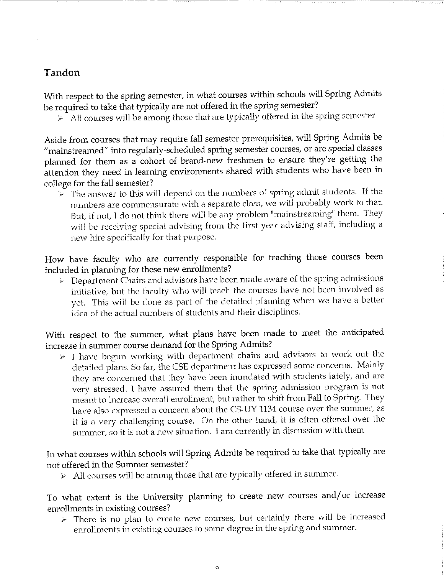## Tandon

With respect to the spring semester, in what courses within schools will Spring Admits be required to take that typically are not offered in the spring semester?

 $\triangleright$  All courses will be among those that are typically offered in the spring semester

Aside from courses that may require fall semester prerequisites, will Spring Admits be "mainstreamed" into regularly-scheduled spring semester courses, or are special classes planned for them as a cohort of brand-new freshmen to ensure they're getting the attention they need in learning environments shared with students who have been in college for the fall semester?

 $\triangleright$  The answer to this will depend on the numbers of spring admit students. If the numbers are commensurate with a separate class, we will probably work to that. But, if not, I do not think there will be any problem "mainstreaming" them. They will be receiving special advising from the first year advising staff, including a new hire specifically for that purpose.

How have faculty who are currently responsible for teaching those courses been included in planning for these new enrollments?

 $\triangleright$  Department Chairs and advisors have been made aware of the spring admissions initiative, but the faculty who will teach the courses have not been involved as yet. This will be done as part of the detailed planning when we have a better idea of the actual numbers of students and their disciplines.

With respect to the summer, what plans have been made to meet the anticipated increase in summer course demand for the Spring Admits?

 $\triangleright$  I have begun working with department chairs and advisors to work out the detailed plans. So far, the CSE department has expressed some concerns. Mainly they are concerned that they have been inundated with students lately, and are very stressed. I have assured them that the spring admission program is not meant to increase overall enrollment, but rather to shift from Fall to Spring. They have also expressed a concern about the CS-UY 1134 course over the summer, as it is a very challenging course. On the other hand, it is often offered over the summer, so it is not a new situation. I am currently in discussion with them.

#### In what courses within schools will Spring Admits be required to take that typically are not offered in the Summer semester?

> All courses will be among those that are typically offered in summer.

## To what extent is the University planning to create new courses and/or increase enrollments in existing courses?

 $\triangleright$  There is no plan to create new courses, but certainly there will be increased enrollments in existing courses to some degree in the spring and summer.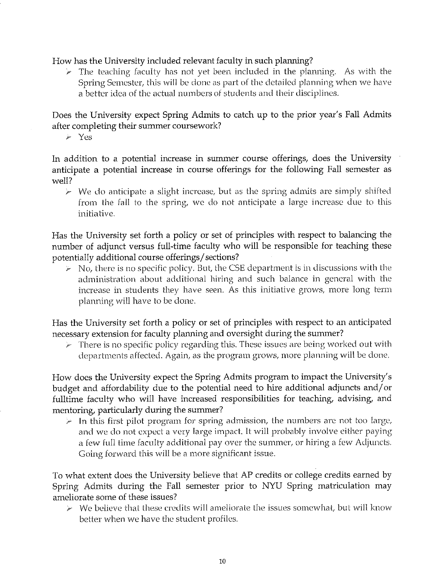How has the University included relevant faculty in such planning?

 $\triangleright$  The teaching faculty has not yet been included in the planning. As with the Spring Semester, this will be done as part of the detailed planning when we have a better idea of the actual numbers of students and their disciplines.

Does the University expect Spring Admits to catch up to the prior year's Fall Admits after completing their summer coursework?

 $\geqslant$  Yes

In addition to a potential increase in summer course offerings, does the University anticipate a potential increase in course offerings for the following Fall semester as well?

 $\triangleright$  We do anticipate a slight increase, but as the spring admits are simply shifted from the fall to the spring, we do not anticipate a large increase due to this initiative.

Has the University set forth a policy or set of principles with respect to balancing the number of adjunct versus full-time faculty who will be responsible for teaching these potentially additional course offerings/sections?

 $\triangleright$  No, there is no specific policy. But, the CSE department is in discussions with the administration about additional hiring and such balance in general with the increase in students they have seen. As this initiative grows, more long term planning will have to be done.

Has the University set forth a policy or set of principles with respect to an anticipated necessary extension for faculty planning and oversight during the summer?

 $\triangleright$  There is no specific policy regarding this. These issues are being worked out with departments affected. Again, as the program grows, more planning will be done.

How does the University expect the Spring Admits program to impact the University's budget and affordability due to the potential need to hire additional adjuncts and/or fulltime faculty who will have increased responsibilities for teaching, advising, and mentoring, particularly during the summer?

 $\geq$  In this first pilot program for spring admission, the numbers are not too large, and we do not expect a very large impact. It will probably involve either paying a few full time faculty additional pay over the summer, or hiring a few Adjuncts. Going forward this will be a more significant issue.

To what extent does the University believe that AP credits or college credits earned by Spring Admits during the Fall semester prior to NYU Spring matriculation may ameliorate some of these issues?

 $\triangleright$  We believe that these credits will ameliorate the issues somewhat, but will know better when we have the student profiles.